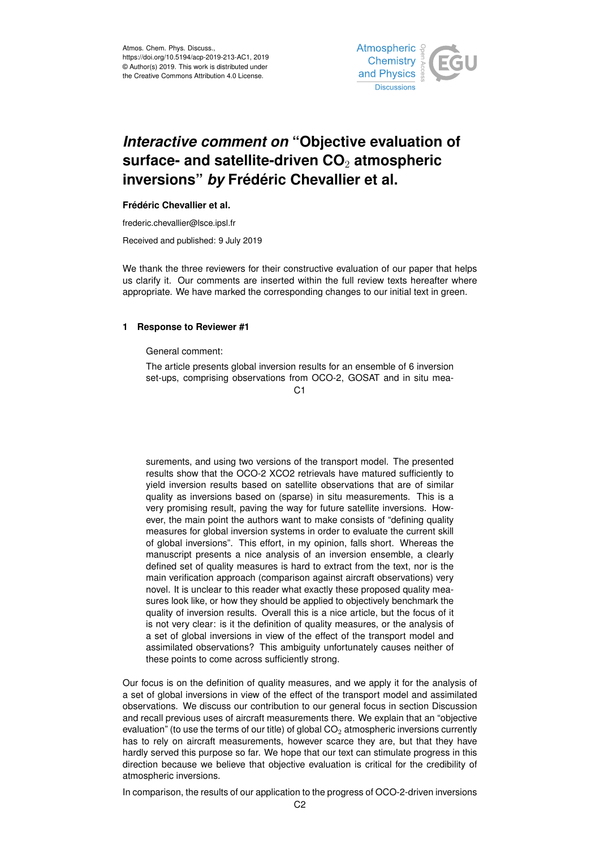

# *Interactive comment on* **"Objective evaluation of surface- and satellite-driven CO**<sup>2</sup> **atmospheric inversions"** *by* **Frédéric Chevallier et al.**

### **Frédéric Chevallier et al.**

frederic.chevallier@lsce.ipsl.fr

Received and published: 9 July 2019

We thank the three reviewers for their constructive evaluation of our paper that helps us clarify it. Our comments are inserted within the full review texts hereafter where appropriate. We have marked the corresponding changes to our initial text in green.

## **1 Response to Reviewer #1**

General comment:

The article presents global inversion results for an ensemble of 6 inversion set-ups, comprising observations from OCO-2, GOSAT and in situ mea-

C1

surements, and using two versions of the transport model. The presented results show that the OCO-2 XCO2 retrievals have matured sufficiently to yield inversion results based on satellite observations that are of similar quality as inversions based on (sparse) in situ measurements. This is a very promising result, paving the way for future satellite inversions. However, the main point the authors want to make consists of "defining quality measures for global inversion systems in order to evaluate the current skill of global inversions". This effort, in my opinion, falls short. Whereas the manuscript presents a nice analysis of an inversion ensemble, a clearly defined set of quality measures is hard to extract from the text, nor is the main verification approach (comparison against aircraft observations) very novel. It is unclear to this reader what exactly these proposed quality measures look like, or how they should be applied to objectively benchmark the quality of inversion results. Overall this is a nice article, but the focus of it is not very clear: is it the definition of quality measures, or the analysis of a set of global inversions in view of the effect of the transport model and assimilated observations? This ambiguity unfortunately causes neither of these points to come across sufficiently strong.

Our focus is on the definition of quality measures, and we apply it for the analysis of a set of global inversions in view of the effect of the transport model and assimilated observations. We discuss our contribution to our general focus in section Discussion and recall previous uses of aircraft measurements there. We explain that an "objective evaluation" (to use the terms of our title) of global  $CO<sub>2</sub>$  atmospheric inversions currently has to rely on aircraft measurements, however scarce they are, but that they have hardly served this purpose so far. We hope that our text can stimulate progress in this direction because we believe that objective evaluation is critical for the credibility of atmospheric inversions.

In comparison, the results of our application to the progress of OCO-2-driven inversions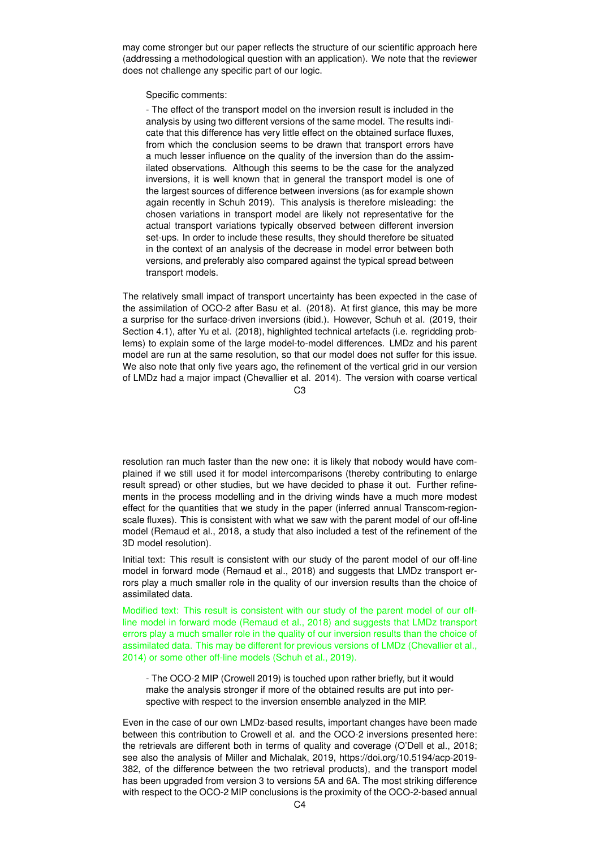may come stronger but our paper reflects the structure of our scientific approach here (addressing a methodological question with an application). We note that the reviewer does not challenge any specific part of our logic.

Specific comments:

- The effect of the transport model on the inversion result is included in the analysis by using two different versions of the same model. The results indicate that this difference has very little effect on the obtained surface fluxes, from which the conclusion seems to be drawn that transport errors have a much lesser influence on the quality of the inversion than do the assimilated observations. Although this seems to be the case for the analyzed inversions, it is well known that in general the transport model is one of the largest sources of difference between inversions (as for example shown again recently in Schuh 2019). This analysis is therefore misleading: the chosen variations in transport model are likely not representative for the actual transport variations typically observed between different inversion set-ups. In order to include these results, they should therefore be situated in the context of an analysis of the decrease in model error between both versions, and preferably also compared against the typical spread between transport models.

The relatively small impact of transport uncertainty has been expected in the case of the assimilation of OCO-2 after Basu et al. (2018). At first glance, this may be more a surprise for the surface-driven inversions (ibid.). However, Schuh et al. (2019, their Section 4.1), after Yu et al. (2018), highlighted technical artefacts (i.e. regridding problems) to explain some of the large model-to-model differences. LMDz and his parent model are run at the same resolution, so that our model does not suffer for this issue. We also note that only five years ago, the refinement of the vertical grid in our version of LMDz had a major impact (Chevallier et al. 2014). The version with coarse vertical

 $C<sub>3</sub>$ 

resolution ran much faster than the new one: it is likely that nobody would have complained if we still used it for model intercomparisons (thereby contributing to enlarge result spread) or other studies, but we have decided to phase it out. Further refinements in the process modelling and in the driving winds have a much more modest effect for the quantities that we study in the paper (inferred annual Transcom-regionscale fluxes). This is consistent with what we saw with the parent model of our off-line model (Remaud et al., 2018, a study that also included a test of the refinement of the 3D model resolution).

Initial text: This result is consistent with our study of the parent model of our off-line model in forward mode (Remaud et al., 2018) and suggests that LMDz transport errors play a much smaller role in the quality of our inversion results than the choice of assimilated data.

Modified text: This result is consistent with our study of the parent model of our offline model in forward mode (Remaud et al., 2018) and suggests that LMDz transport errors play a much smaller role in the quality of our inversion results than the choice of assimilated data. This may be different for previous versions of LMDz (Chevallier et al., 2014) or some other off-line models (Schuh et al., 2019).

- The OCO-2 MIP (Crowell 2019) is touched upon rather briefly, but it would make the analysis stronger if more of the obtained results are put into perspective with respect to the inversion ensemble analyzed in the MIP.

Even in the case of our own LMDz-based results, important changes have been made between this contribution to Crowell et al. and the OCO-2 inversions presented here: the retrievals are different both in terms of quality and coverage (O'Dell et al., 2018; see also the analysis of Miller and Michalak, 2019, https://doi.org/10.5194/acp-2019- 382, of the difference between the two retrieval products), and the transport model has been upgraded from version 3 to versions 5A and 6A. The most striking difference with respect to the OCO-2 MIP conclusions is the proximity of the OCO-2-based annual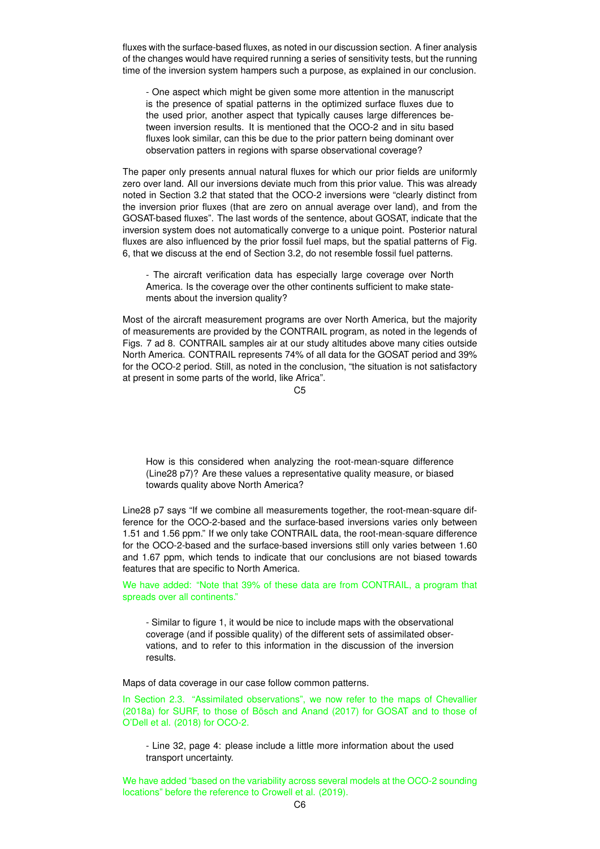fluxes with the surface-based fluxes, as noted in our discussion section. A finer analysis of the changes would have required running a series of sensitivity tests, but the running time of the inversion system hampers such a purpose, as explained in our conclusion.

- One aspect which might be given some more attention in the manuscript is the presence of spatial patterns in the optimized surface fluxes due to the used prior, another aspect that typically causes large differences between inversion results. It is mentioned that the OCO-2 and in situ based fluxes look similar, can this be due to the prior pattern being dominant over observation patters in regions with sparse observational coverage?

The paper only presents annual natural fluxes for which our prior fields are uniformly zero over land. All our inversions deviate much from this prior value. This was already noted in Section 3.2 that stated that the OCO-2 inversions were "clearly distinct from the inversion prior fluxes (that are zero on annual average over land), and from the GOSAT-based fluxes". The last words of the sentence, about GOSAT, indicate that the inversion system does not automatically converge to a unique point. Posterior natural fluxes are also influenced by the prior fossil fuel maps, but the spatial patterns of Fig. 6, that we discuss at the end of Section 3.2, do not resemble fossil fuel patterns.

- The aircraft verification data has especially large coverage over North America. Is the coverage over the other continents sufficient to make statements about the inversion quality?

Most of the aircraft measurement programs are over North America, but the majority of measurements are provided by the CONTRAIL program, as noted in the legends of Figs. 7 ad 8. CONTRAIL samples air at our study altitudes above many cities outside North America. CONTRAIL represents 74% of all data for the GOSAT period and 39% for the OCO-2 period. Still, as noted in the conclusion, "the situation is not satisfactory at present in some parts of the world, like Africa".

 $C<sub>5</sub>$ 

How is this considered when analyzing the root-mean-square difference (Line28 p7)? Are these values a representative quality measure, or biased towards quality above North America?

Line28 p7 says "If we combine all measurements together, the root-mean-square difference for the OCO-2-based and the surface-based inversions varies only between 1.51 and 1.56 ppm." If we only take CONTRAIL data, the root-mean-square difference for the OCO-2-based and the surface-based inversions still only varies between 1.60 and 1.67 ppm, which tends to indicate that our conclusions are not biased towards features that are specific to North America.

We have added: "Note that 39% of these data are from CONTRAIL, a program that spreads over all continents."

- Similar to figure 1, it would be nice to include maps with the observational coverage (and if possible quality) of the different sets of assimilated observations, and to refer to this information in the discussion of the inversion results.

Maps of data coverage in our case follow common patterns.

In Section 2.3. "Assimilated observations", we now refer to the maps of Chevallier (2018a) for SURF, to those of Bösch and Anand (2017) for GOSAT and to those of O'Dell et al. (2018) for OCO-2.

- Line 32, page 4: please include a little more information about the used transport uncertainty.

We have added "based on the variability across several models at the OCO-2 sounding locations" before the reference to Crowell et al. (2019).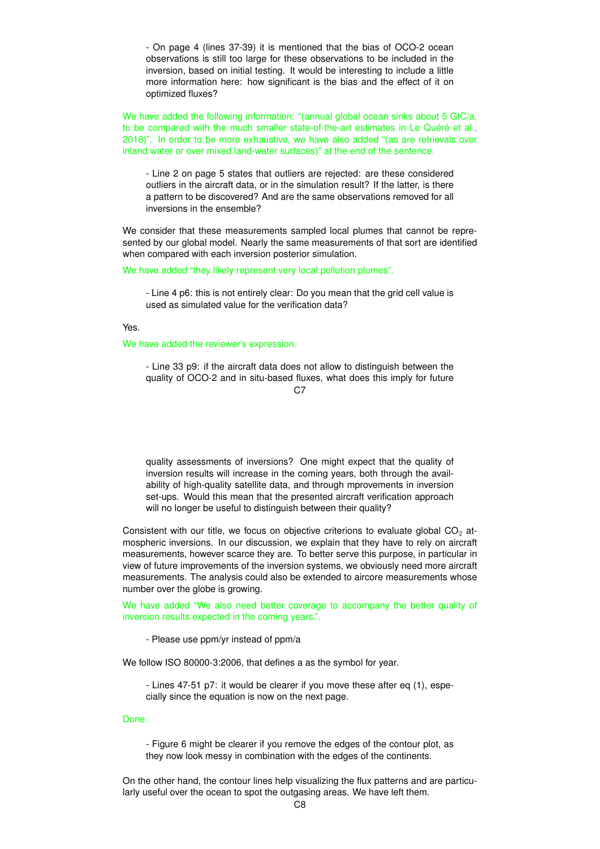- On page 4 (lines 37-39) it is mentioned that the bias of OCO-2 ocean observations is still too large for these observations to be included in the inversion, based on initial testing. It would be interesting to include a little more information here: how significant is the bias and the effect of it on optimized fluxes?

We have added the following information: "(annual global ocean sinks about 5 GtC/a, to be compared with the much smaller state-of-the-art estimates in Le Quéré et al., 2018)". In order to be more exhaustive, we have also added "(as are retrievals over inland water or over mixed land-water surfaces)" at the end of the sentence.

- Line 2 on page 5 states that outliers are rejected: are these considered outliers in the aircraft data, or in the simulation result? If the latter, is there a pattern to be discovered? And are the same observations removed for all inversions in the ensemble?

We consider that these measurements sampled local plumes that cannot be represented by our global model. Nearly the same measurements of that sort are identified when compared with each inversion posterior simulation.

### We have added "they likely represent very local pollution plumes".

- Line 4 p6: this is not entirely clear: Do you mean that the grid cell value is used as simulated value for the verification data?

Yes.

We have added the reviewer's expression.

- Line 33 p9: if the aircraft data does not allow to distinguish between the quality of OCO-2 and in situ-based fluxes, what does this imply for future

 $C.7$ 

quality assessments of inversions? One might expect that the quality of inversion results will increase in the coming years, both through the availability of high-quality satellite data, and through mprovements in inversion set-ups. Would this mean that the presented aircraft verification approach will no longer be useful to distinguish between their quality?

Consistent with our title, we focus on objective criterions to evaluate global  $CO<sub>2</sub>$  atmospheric inversions. In our discussion, we explain that they have to rely on aircraft measurements, however scarce they are. To better serve this purpose, in particular in view of future improvements of the inversion systems, we obviously need more aircraft measurements. The analysis could also be extended to aircore measurements whose number over the globe is growing.

We have added "We also need better coverage to accompany the better quality of inversion results expected in the coming years.".

- Please use ppm/yr instead of ppm/a

We follow ISO 80000-3:2006, that defines a as the symbol for year.

- Lines 47-51 p7: it would be clearer if you move these after eq (1), especially since the equation is now on the next page.

#### Done.

- Figure 6 might be clearer if you remove the edges of the contour plot, as they now look messy in combination with the edges of the continents.

On the other hand, the contour lines help visualizing the flux patterns and are particularly useful over the ocean to spot the outgasing areas. We have left them.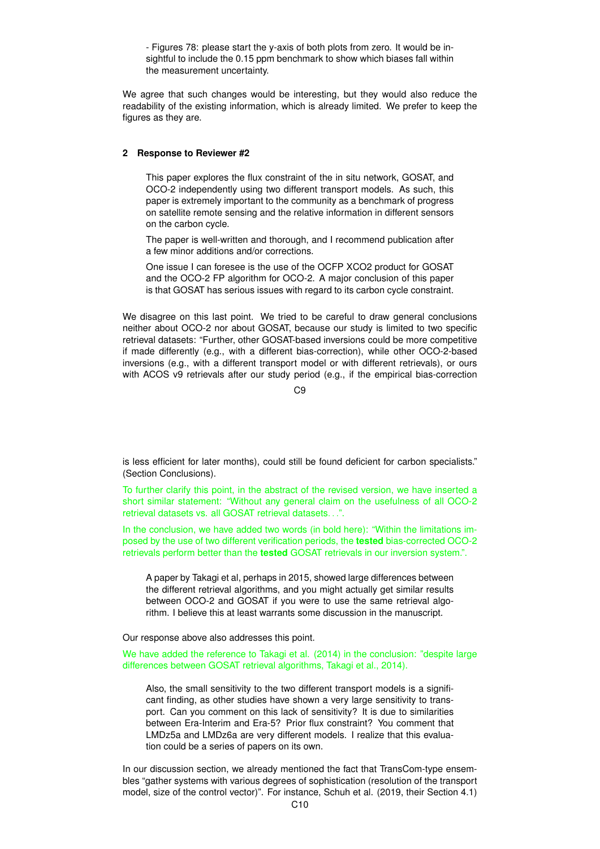- Figures 78: please start the y-axis of both plots from zero. It would be insightful to include the 0.15 ppm benchmark to show which biases fall within the measurement uncertainty.

We agree that such changes would be interesting, but they would also reduce the readability of the existing information, which is already limited. We prefer to keep the figures as they are.

### **2 Response to Reviewer #2**

This paper explores the flux constraint of the in situ network, GOSAT, and OCO-2 independently using two different transport models. As such, this paper is extremely important to the community as a benchmark of progress on satellite remote sensing and the relative information in different sensors on the carbon cycle.

The paper is well-written and thorough, and I recommend publication after a few minor additions and/or corrections.

One issue I can foresee is the use of the OCFP XCO2 product for GOSAT and the OCO-2 FP algorithm for OCO-2. A major conclusion of this paper is that GOSAT has serious issues with regard to its carbon cycle constraint.

We disagree on this last point. We tried to be careful to draw general conclusions neither about OCO-2 nor about GOSAT, because our study is limited to two specific retrieval datasets: "Further, other GOSAT-based inversions could be more competitive if made differently (e.g., with a different bias-correction), while other OCO-2-based inversions (e.g., with a different transport model or with different retrievals), or ours with ACOS v9 retrievals after our study period (e.g., if the empirical bias-correction

 $C9$ 

is less efficient for later months), could still be found deficient for carbon specialists." (Section Conclusions).

To further clarify this point, in the abstract of the revised version, we have inserted a short similar statement: "Without any general claim on the usefulness of all OCO-2 retrieval datasets vs. all GOSAT retrieval datasets. . .".

In the conclusion, we have added two words (in bold here): "Within the limitations imposed by the use of two different verification periods, the **tested** bias-corrected OCO-2 retrievals perform better than the **tested** GOSAT retrievals in our inversion system.".

A paper by Takagi et al, perhaps in 2015, showed large differences between the different retrieval algorithms, and you might actually get similar results between OCO-2 and GOSAT if you were to use the same retrieval algorithm. I believe this at least warrants some discussion in the manuscript.

Our response above also addresses this point.

We have added the reference to Takagi et al. (2014) in the conclusion: "despite large differences between GOSAT retrieval algorithms, Takagi et al., 2014).

Also, the small sensitivity to the two different transport models is a significant finding, as other studies have shown a very large sensitivity to transport. Can you comment on this lack of sensitivity? It is due to similarities between Era-Interim and Era-5? Prior flux constraint? You comment that LMDz5a and LMDz6a are very different models. I realize that this evaluation could be a series of papers on its own.

In our discussion section, we already mentioned the fact that TransCom-type ensembles "gather systems with various degrees of sophistication (resolution of the transport model, size of the control vector)". For instance, Schuh et al. (2019, their Section 4.1)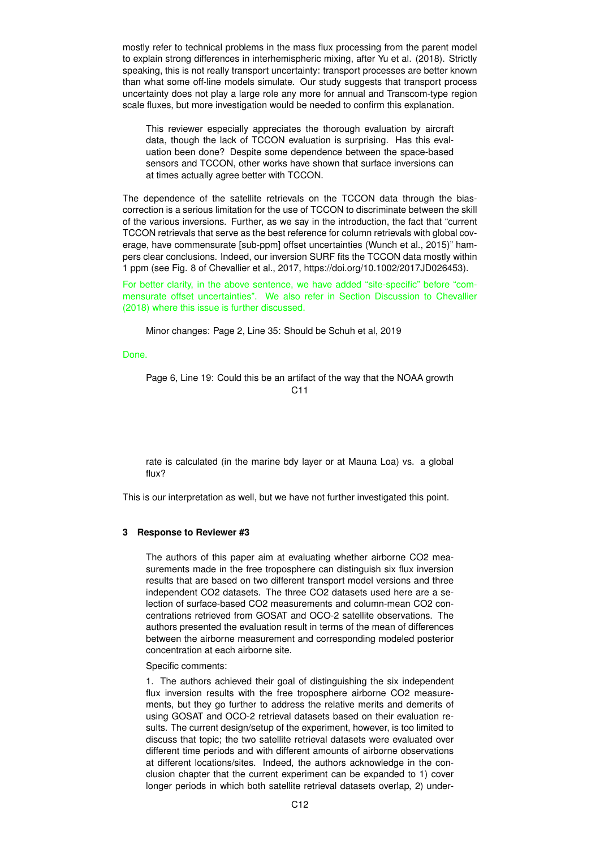mostly refer to technical problems in the mass flux processing from the parent model to explain strong differences in interhemispheric mixing, after Yu et al. (2018). Strictly speaking, this is not really transport uncertainty: transport processes are better known than what some off-line models simulate. Our study suggests that transport process uncertainty does not play a large role any more for annual and Transcom-type region scale fluxes, but more investigation would be needed to confirm this explanation.

This reviewer especially appreciates the thorough evaluation by aircraft data, though the lack of TCCON evaluation is surprising. Has this evaluation been done? Despite some dependence between the space-based sensors and TCCON, other works have shown that surface inversions can at times actually agree better with TCCON.

The dependence of the satellite retrievals on the TCCON data through the biascorrection is a serious limitation for the use of TCCON to discriminate between the skill of the various inversions. Further, as we say in the introduction, the fact that "current TCCON retrievals that serve as the best reference for column retrievals with global coverage, have commensurate [sub-ppm] offset uncertainties (Wunch et al., 2015)" hampers clear conclusions. Indeed, our inversion SURF fits the TCCON data mostly within 1 ppm (see Fig. 8 of Chevallier et al., 2017, https://doi.org/10.1002/2017JD026453).

For better clarity, in the above sentence, we have added "site-specific" before "commensurate offset uncertainties". We also refer in Section Discussion to Chevallier (2018) where this issue is further discussed.

Minor changes: Page 2, Line 35: Should be Schuh et al, 2019

Done.

Page 6, Line 19: Could this be an artifact of the way that the NOAA growth  $C<sub>11</sub>$ 

rate is calculated (in the marine bdy layer or at Mauna Loa) vs. a global flux?

This is our interpretation as well, but we have not further investigated this point.

#### **3 Response to Reviewer #3**

The authors of this paper aim at evaluating whether airborne CO2 measurements made in the free troposphere can distinguish six flux inversion results that are based on two different transport model versions and three independent CO2 datasets. The three CO2 datasets used here are a selection of surface-based CO2 measurements and column-mean CO2 concentrations retrieved from GOSAT and OCO-2 satellite observations. The authors presented the evaluation result in terms of the mean of differences between the airborne measurement and corresponding modeled posterior concentration at each airborne site.

Specific comments:

1. The authors achieved their goal of distinguishing the six independent flux inversion results with the free troposphere airborne CO2 measurements, but they go further to address the relative merits and demerits of using GOSAT and OCO-2 retrieval datasets based on their evaluation results. The current design/setup of the experiment, however, is too limited to discuss that topic; the two satellite retrieval datasets were evaluated over different time periods and with different amounts of airborne observations at different locations/sites. Indeed, the authors acknowledge in the conclusion chapter that the current experiment can be expanded to 1) cover longer periods in which both satellite retrieval datasets overlap, 2) under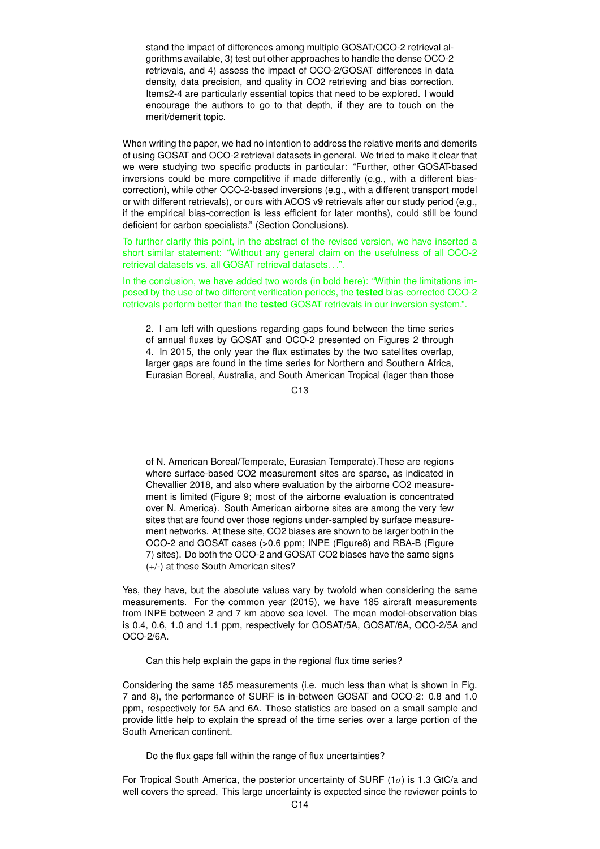stand the impact of differences among multiple GOSAT/OCO-2 retrieval algorithms available, 3) test out other approaches to handle the dense OCO-2 retrievals, and 4) assess the impact of OCO-2/GOSAT differences in data density, data precision, and quality in CO2 retrieving and bias correction. Items2-4 are particularly essential topics that need to be explored. I would encourage the authors to go to that depth, if they are to touch on the merit/demerit topic.

When writing the paper, we had no intention to address the relative merits and demerits of using GOSAT and OCO-2 retrieval datasets in general. We tried to make it clear that we were studying two specific products in particular: "Further, other GOSAT-based inversions could be more competitive if made differently (e.g., with a different biascorrection), while other OCO-2-based inversions (e.g., with a different transport model or with different retrievals), or ours with ACOS v9 retrievals after our study period (e.g., if the empirical bias-correction is less efficient for later months), could still be found deficient for carbon specialists." (Section Conclusions).

To further clarify this point, in the abstract of the revised version, we have inserted a short similar statement: "Without any general claim on the usefulness of all OCO-2 retrieval datasets vs. all GOSAT retrieval datasets. . .".

In the conclusion, we have added two words (in bold here): "Within the limitations imposed by the use of two different verification periods, the **tested** bias-corrected OCO-2 retrievals perform better than the **tested** GOSAT retrievals in our inversion system.".

2. I am left with questions regarding gaps found between the time series of annual fluxes by GOSAT and OCO-2 presented on Figures 2 through 4. In 2015, the only year the flux estimates by the two satellites overlap, larger gaps are found in the time series for Northern and Southern Africa, Eurasian Boreal, Australia, and South American Tropical (lager than those

C13

of N. American Boreal/Temperate, Eurasian Temperate).These are regions where surface-based CO2 measurement sites are sparse, as indicated in Chevallier 2018, and also where evaluation by the airborne CO2 measurement is limited (Figure 9; most of the airborne evaluation is concentrated over N. America). South American airborne sites are among the very few sites that are found over those regions under-sampled by surface measurement networks. At these site, CO2 biases are shown to be larger both in the OCO-2 and GOSAT cases (>0.6 ppm; INPE (Figure8) and RBA-B (Figure 7) sites). Do both the OCO-2 and GOSAT CO2 biases have the same signs (+/-) at these South American sites?

Yes, they have, but the absolute values vary by twofold when considering the same measurements. For the common year (2015), we have 185 aircraft measurements from INPE between 2 and 7 km above sea level. The mean model-observation bias is 0.4, 0.6, 1.0 and 1.1 ppm, respectively for GOSAT/5A, GOSAT/6A, OCO-2/5A and OCO-2/6A.

Can this help explain the gaps in the regional flux time series?

Considering the same 185 measurements (i.e. much less than what is shown in Fig. 7 and 8), the performance of SURF is in-between GOSAT and OCO-2: 0.8 and 1.0 ppm, respectively for 5A and 6A. These statistics are based on a small sample and provide little help to explain the spread of the time series over a large portion of the South American continent.

Do the flux gaps fall within the range of flux uncertainties?

For Tropical South America, the posterior uncertainty of SURF ( $1\sigma$ ) is 1.3 GtC/a and well covers the spread. This large uncertainty is expected since the reviewer points to